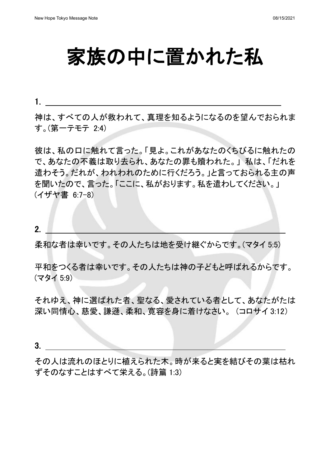1.

家族の中に置かれた私

神は、すべての人が救われて、真理を知るようになるのを望んでおられま す。(第一テモテ 2:4)

彼は、私の口に触れて言った。「見よ。これがあなたのくちびるに触れたの で、あなたの不義は取り去られ、あなたの罪も贖われた。」 私は、「だれを 遣わそう。だれが、われわれのために行くだろう。」と言っておられる主の声 を聞いたので、言った。「ここに、私がおります。私を遣わしてください。」 (イザヤ書 6:7-8)

2.

柔和な者は幸いです。その人たちは地を受け継ぐからです。(マタイ 5:5)

平和をつくる者は幸いです。その人たちは神の子どもと呼ばれるからです。 (マタイ 5:9)

それゆえ、神に選ばれた者、聖なる、愛されている者として、あなたがたは 深い同情心、慈愛、謙遜、柔和、寛容を身に着けなさい。 (コロサイ 3:12)

3.

その人は流れのほとりに植えられた木。時が来ると実を結びその葉は枯れ ずそのなすことはすべて栄える。(詩篇 1:3)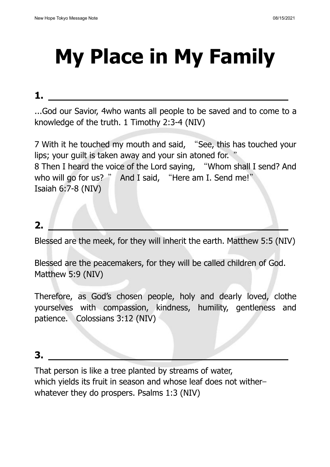# **My Place in My Family**

#### **1.**

...God our Savior, 4who wants all people to be saved and to come to a knowledge of the truth. 1 Timothy 2:3-4 (NIV)

7 With it he touched my mouth and said, "See, this has touched your lips; your guilt is taken away and your sin atoned for. " 8 Then I heard the voice of the Lord saying, "Whom shall I send? And who will go for us? " And I said, "Here am I. Send me!" Isaiah 6:7-8 (NIV)

## **2.**

Blessed are the meek, for they will inherit the earth. Matthew 5:5 (NIV)

Blessed are the peacemakers, for they will be called children of God. Matthew 5:9 (NIV)

Therefore, as God's chosen people, holy and dearly loved, clothe yourselves with compassion, kindness, humility, gentleness and patience. Colossians 3:12 (NIV)

### **3.**

That person is like a tree planted by streams of water, which yields its fruit in season and whose leaf does not witherwhatever they do prospers. Psalms 1:3 (NIV)